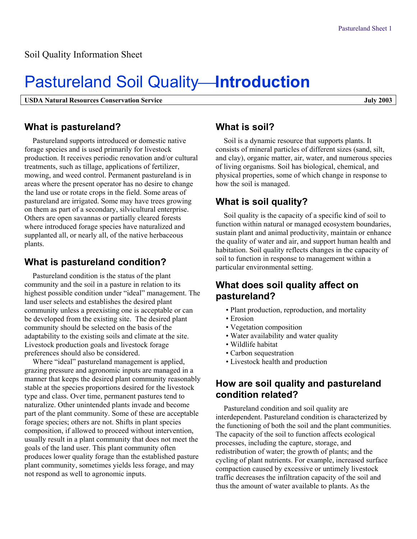# **Pastureland Soil Quality-Introduction**

**USDA Natural Resources Conservation Service July 2003** 

#### **What is pastureland?**

Pastureland supports introduced or domestic native forage species and is used primarily for livestock production. It receives periodic renovation and/or cultural treatments, such as tillage, applications of fertilizer, mowing, and weed control. Permanent pastureland is in areas where the present operator has no desire to change the land use or rotate crops in the field. Some areas of pastureland are irrigated. Some may have trees growing on them as part of a secondary, silvicultural enterprise. Others are open savannas or partially cleared forests where introduced forage species have naturalized and supplanted all, or nearly all, of the native herbaceous plants.

### **What is pastureland condition?**

Pastureland condition is the status of the plant community and the soil in a pasture in relation to its highest possible condition under "ideal" management. The land user selects and establishes the desired plant community unless a preexisting one is acceptable or can be developed from the existing site. The desired plant community should be selected on the basis of the adaptability to the existing soils and climate at the site. Livestock production goals and livestock forage preferences should also be considered.

Where "ideal" pastureland management is applied, grazing pressure and agronomic inputs are managed in a manner that keeps the desired plant community reasonably stable at the species proportions desired for the livestock type and class. Over time, permanent pastures tend to naturalize. Other unintended plants invade and become part of the plant community. Some of these are acceptable forage species; others are not. Shifts in plant species composition, if allowed to proceed without intervention, usually result in a plant community that does not meet the goals of the land user. This plant community often produces lower quality forage than the established pasture plant community, sometimes yields less forage, and may not respond as well to agronomic inputs.

# **What is soil?**

Soil is a dynamic resource that supports plants. It consists of mineral particles of different sizes (sand, silt, and clay), organic matter, air, water, and numerous species of living organisms. Soil has biological, chemical, and physical properties, some of which change in response to how the soil is managed.

# **What is soil quality?**

Soil quality is the capacity of a specific kind of soil to function within natural or managed ecosystem boundaries, sustain plant and animal productivity, maintain or enhance the quality of water and air, and support human health and habitation. Soil quality reflects changes in the capacity of soil to function in response to management within a particular environmental setting.

### **What does soil quality affect on pastureland?**

- Plant production, reproduction, and mortality
- Erosion
- Vegetation composition
- Water availability and water quality
- Wildlife habitat
- Carbon sequestration
- Livestock health and production

#### **How are soil quality and pastureland condition related?**

Pastureland condition and soil quality are interdependent. Pastureland condition is characterized by the functioning of both the soil and the plant communities. The capacity of the soil to function affects ecological processes, including the capture, storage, and redistribution of water; the growth of plants; and the cycling of plant nutrients. For example, increased surface compaction caused by excessive or untimely livestock traffic decreases the infiltration capacity of the soil and thus the amount of water available to plants. As the